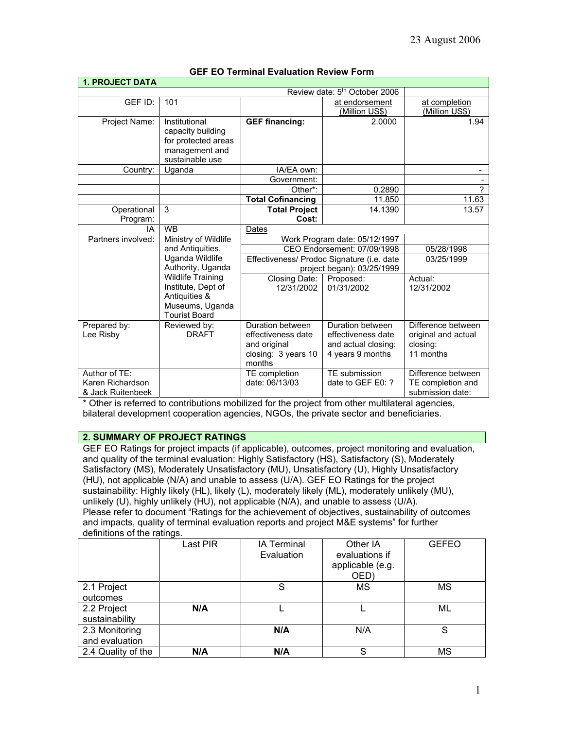| <b>1. PROJECT DATA</b>                    |                          |                                            |                     |                     |
|-------------------------------------------|--------------------------|--------------------------------------------|---------------------|---------------------|
| Review date: 5 <sup>th</sup> October 2006 |                          |                                            |                     |                     |
| GEF ID:                                   | 101                      |                                            | at endorsement      | at completion       |
|                                           |                          |                                            | (Million US\$)      | (Million US\$)      |
| Project Name:                             | Institutional            | <b>GEF financing:</b>                      | 2.0000              | 1.94                |
|                                           | capacity building        |                                            |                     |                     |
|                                           | for protected areas      |                                            |                     |                     |
|                                           | management and           |                                            |                     |                     |
|                                           | sustainable use          |                                            |                     |                     |
| Country:                                  | Uganda                   | IA/EA own:                                 |                     |                     |
|                                           |                          | Government:                                |                     |                     |
|                                           |                          | Other*:                                    | 0.2890              | 2                   |
|                                           |                          | <b>Total Cofinancing</b>                   | 11.850              | 11.63               |
| Operational                               | 3                        | <b>Total Project</b>                       | 14.1390             | 13.57               |
| Program:                                  |                          | Cost:                                      |                     |                     |
| IA                                        | <b>WB</b>                | Dates                                      |                     |                     |
| Partners involved:                        | Ministry of Wildlife     | Work Program date: 05/12/1997              |                     |                     |
|                                           | and Antiquities,         | CEO Endorsement: 07/09/1998                |                     | 05/28/1998          |
|                                           | Uganda Wildlife          | Effectiveness/ Prodoc Signature (i.e. date |                     | 03/25/1999          |
|                                           | Authority, Uganda        | project began): 03/25/1999                 |                     |                     |
|                                           | <b>Wildlife Training</b> | Closing Date:                              | Proposed:           | Actual:             |
|                                           | Institute, Dept of       | 12/31/2002                                 | 01/31/2002          | 12/31/2002          |
|                                           | Antiquities &            |                                            |                     |                     |
|                                           | Museums, Uganda          |                                            |                     |                     |
|                                           | <b>Tourist Board</b>     |                                            |                     |                     |
| Prepared by:                              | Reviewed by:             | Duration between                           | Duration between    | Difference between  |
| Lee Risby                                 | <b>DRAFT</b>             | effectiveness date                         | effectiveness date  | original and actual |
|                                           |                          | and original                               | and actual closing: | closing:            |
|                                           |                          | closing: 3 years 10<br>months              | 4 years 9 months    | 11 months           |
| Author of TE:                             |                          | TE completion                              | TE submission       | Difference between  |
| Karen Richardson                          |                          | date: 06/13/03                             | date to GEF E0: ?   | TE completion and   |
| & Jack Ruitenbeek                         |                          |                                            |                     | submission date:    |

## **GEF EO Terminal Evaluation Review Form**

\* Other is referred to contributions mobilized for the project from other multilateral agencies, bilateral development cooperation agencies, NGOs, the private sector and beneficiaries.

# **2. SUMMARY OF PROJECT RATINGS**

GEF EO Ratings for project impacts (if applicable), outcomes, project monitoring and evaluation, and quality of the terminal evaluation: Highly Satisfactory (HS), Satisfactory (S), Moderately Satisfactory (MS), Moderately Unsatisfactory (MU), Unsatisfactory (U), Highly Unsatisfactory (HU), not applicable (N/A) and unable to assess (U/A). GEF EO Ratings for the project sustainability: Highly likely (HL), likely (L), moderately likely (ML), moderately unlikely (MU), unlikely (U), highly unlikely (HU), not applicable (N/A), and unable to assess (U/A). Please refer to document "Ratings for the achievement of objectives, sustainability of outcomes and impacts, quality of terminal evaluation reports and project M&E systems" for further definitions of the ratings.

|                    | Last PIR | <b>IA Terminal</b><br>Evaluation | Other IA<br>evaluations if<br>applicable (e.g.<br>OED) | <b>GEFEO</b> |
|--------------------|----------|----------------------------------|--------------------------------------------------------|--------------|
| 2.1 Project        |          | S                                | ΜS                                                     | MS           |
| outcomes           |          |                                  |                                                        |              |
| 2.2 Project        | N/A      |                                  |                                                        | ML           |
| sustainability     |          |                                  |                                                        |              |
| 2.3 Monitoring     |          | N/A                              | N/A                                                    | S            |
| and evaluation     |          |                                  |                                                        |              |
| 2.4 Quality of the | N/A      | N/A                              | S                                                      | MS           |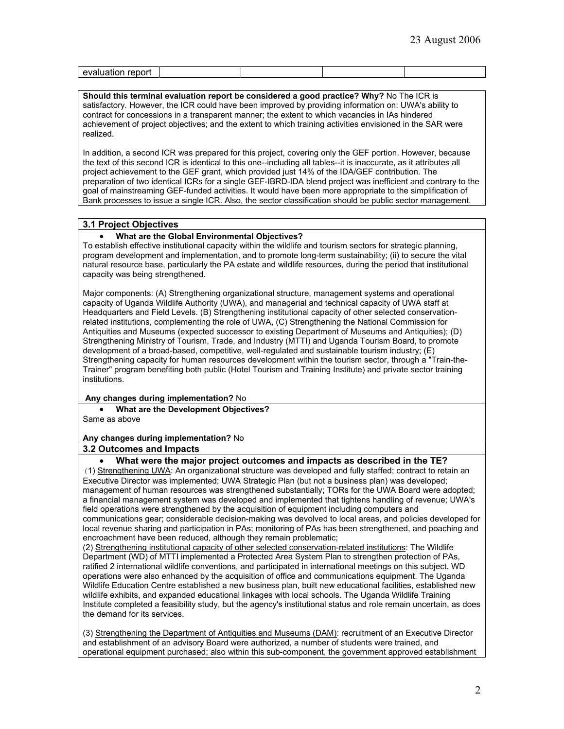| AY2.<br>.<br>.<br>.<br>- - |  |  |
|----------------------------|--|--|
|                            |  |  |

**Should this terminal evaluation report be considered a good practice? Why?** No The ICR is satisfactory. However, the ICR could have been improved by providing information on: UWA's ability to contract for concessions in a transparent manner; the extent to which vacancies in IAs hindered achievement of project objectives; and the extent to which training activities envisioned in the SAR were realized.

In addition, a second ICR was prepared for this project, covering only the GEF portion. However, because the text of this second ICR is identical to this one--including all tables--it is inaccurate, as it attributes all project achievement to the GEF grant, which provided just 14% of the IDA/GEF contribution. The preparation of two identical ICRs for a single GEF-IBRD-IDA blend project was inefficient and contrary to the goal of mainstreaming GEF-funded activities. It would have been more appropriate to the simplification of Bank processes to issue a single ICR. Also, the sector classification should be public sector management.

## **3.1 Project Objectives**

### • **What are the Global Environmental Objectives?**

To establish effective institutional capacity within the wildlife and tourism sectors for strategic planning, program development and implementation, and to promote long-term sustainability; (ii) to secure the vital natural resource base, particularly the PA estate and wildlife resources, during the period that institutional capacity was being strengthened.

Major components: (A) Strengthening organizational structure, management systems and operational capacity of Uganda Wildlife Authority (UWA), and managerial and technical capacity of UWA staff at Headquarters and Field Levels. (B) Strengthening institutional capacity of other selected conservationrelated institutions, complementing the role of UWA, (C) Strengthening the National Commission for Antiquities and Museums (expected successor to existing Department of Museums and Antiquities); (D) Strengthening Ministry of Tourism, Trade, and Industry (MTTI) and Uganda Tourism Board, to promote development of a broad-based, competitive, well-regulated and sustainable tourism industry; (E) Strengthening capacity for human resources development within the tourism sector, through a "Train-the-Trainer" program benefiting both public (Hotel Tourism and Training Institute) and private sector training institutions.

#### **Any changes during implementation?** No

• **What are the Development Objectives?** Same as above

# **Any changes during implementation?** No

#### **3.2 Outcomes and Impacts**

### • **What were the major project outcomes and impacts as described in the TE?**

(1) Strengthening UWA: An organizational structure was developed and fully staffed; contract to retain an Executive Director was implemented; UWA Strategic Plan (but not a business plan) was developed; management of human resources was strengthened substantially; TORs for the UWA Board were adopted; a financial management system was developed and implemented that tightens handling of revenue; UWA's field operations were strengthened by the acquisition of equipment including computers and communications gear; considerable decision-making was devolved to local areas, and policies developed for local revenue sharing and participation in PAs; monitoring of PAs has been strengthened, and poaching and encroachment have been reduced, although they remain problematic;

(2) Strengthening institutional capacity of other selected conservation-related institutions: The Wildlife Department (WD) of MTTI implemented a Protected Area System Plan to strengthen protection of PAs, ratified 2 international wildlife conventions, and participated in international meetings on this subject. WD operations were also enhanced by the acquisition of office and communications equipment. The Uganda Wildlife Education Centre established a new business plan, built new educational facilities, established new wildlife exhibits, and expanded educational linkages with local schools. The Uganda Wildlife Training Institute completed a feasibility study, but the agency's institutional status and role remain uncertain, as does the demand for its services.

(3) Strengthening the Department of Antiquities and Museums (DAM): recruitment of an Executive Director and establishment of an advisory Board were authorized, a number of students were trained, and operational equipment purchased; also within this sub-component, the government approved establishment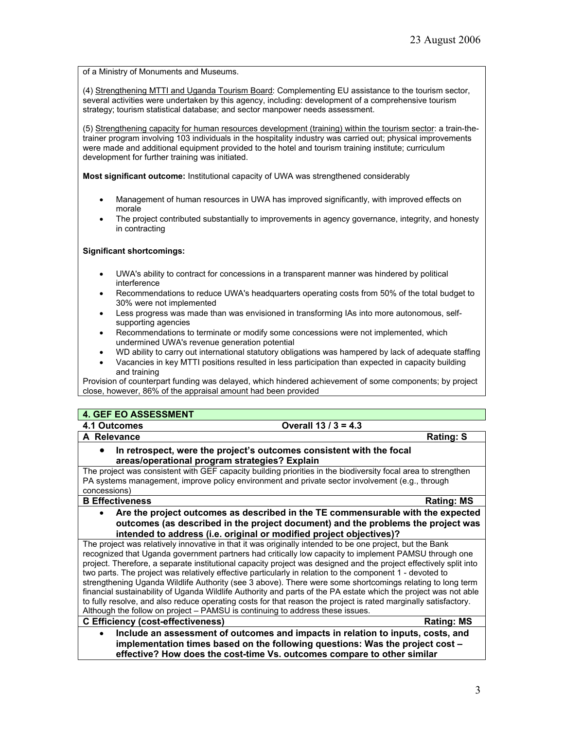of a Ministry of Monuments and Museums.

(4) Strengthening MTTI and Uganda Tourism Board: Complementing EU assistance to the tourism sector, several activities were undertaken by this agency, including: development of a comprehensive tourism strategy; tourism statistical database; and sector manpower needs assessment.

(5) Strengthening capacity for human resources development (training) within the tourism sector: a train-thetrainer program involving 103 individuals in the hospitality industry was carried out; physical improvements were made and additional equipment provided to the hotel and tourism training institute; curriculum development for further training was initiated.

**Most significant outcome:** Institutional capacity of UWA was strengthened considerably

- Management of human resources in UWA has improved significantly, with improved effects on morale
- The project contributed substantially to improvements in agency governance, integrity, and honesty in contracting

#### **Significant shortcomings:**

- UWA's ability to contract for concessions in a transparent manner was hindered by political interference
- Recommendations to reduce UWA's headquarters operating costs from 50% of the total budget to 30% were not implemented
- Less progress was made than was envisioned in transforming IAs into more autonomous, selfsupporting agencies
- Recommendations to terminate or modify some concessions were not implemented, which undermined UWA's revenue generation potential
- WD ability to carry out international statutory obligations was hampered by lack of adequate staffing
- Vacancies in key MTTI positions resulted in less participation than expected in capacity building and training

Provision of counterpart funding was delayed, which hindered achievement of some components; by project close, however, 86% of the appraisal amount had been provided

#### **4. GEF EO ASSESSMENT**

## **4.1 Outcomes Overall 13 / 3 = 4.3**

**A** Relevance **Rational Ration Community Community Rational Ration Ration Ration** 

• **In retrospect, were the project's outcomes consistent with the focal areas/operational program strategies? Explain**

The project was consistent with GEF capacity building priorities in the biodiversity focal area to strengthen PA systems management, improve policy environment and private sector involvement (e.g., through concessions)

#### **B Effectiveness Rating: MS**

• **Are the project outcomes as described in the TE commensurable with the expected outcomes (as described in the project document) and the problems the project was intended to address (i.e. original or modified project objectives)?** 

The project was relatively innovative in that it was originally intended to be one project, but the Bank recognized that Uganda government partners had critically low capacity to implement PAMSU through one project. Therefore, a separate institutional capacity project was designed and the project effectively split into two parts. The project was relatively effective particularly in relation to the component 1 - devoted to strengthening Uganda Wildlife Authority (see 3 above). There were some shortcomings relating to long term financial sustainability of Uganda Wildlife Authority and parts of the PA estate which the project was not able to fully resolve, and also reduce operating costs for that reason the project is rated marginally satisfactory. Although the follow on project – PAMSU is continuing to address these issues.

# **C Efficiency (cost-effectiveness) Rating: MS**

• **Include an assessment of outcomes and impacts in relation to inputs, costs, and implementation times based on the following questions: Was the project cost – effective? How does the cost-time Vs. outcomes compare to other similar**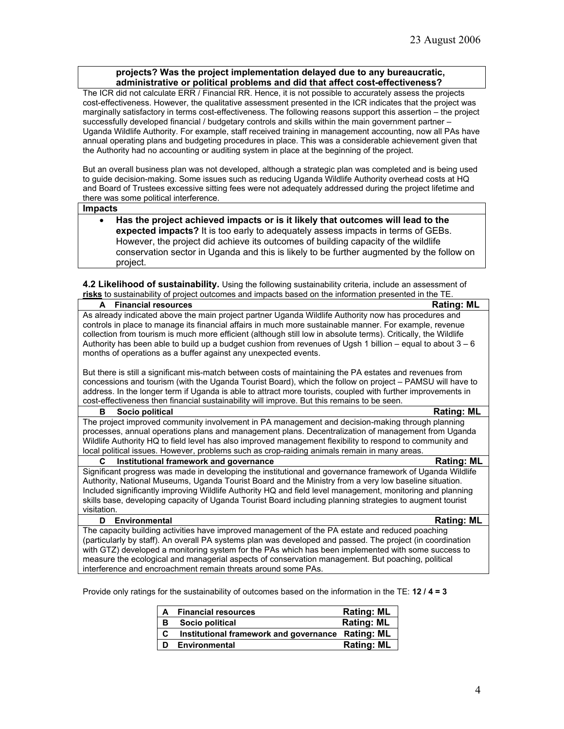#### **projects? Was the project implementation delayed due to any bureaucratic, administrative or political problems and did that affect cost-effectiveness?**

The ICR did not calculate ERR / Financial RR. Hence, it is not possible to accurately assess the projects cost-effectiveness. However, the qualitative assessment presented in the ICR indicates that the project was marginally satisfactory in terms cost-effectiveness. The following reasons support this assertion – the project successfully developed financial / budgetary controls and skills within the main government partner -Uganda Wildlife Authority. For example, staff received training in management accounting, now all PAs have annual operating plans and budgeting procedures in place. This was a considerable achievement given that the Authority had no accounting or auditing system in place at the beginning of the project.

But an overall business plan was not developed, although a strategic plan was completed and is being used to guide decision-making. Some issues such as reducing Uganda Wildlife Authority overhead costs at HQ and Board of Trustees excessive sitting fees were not adequately addressed during the project lifetime and there was some political interference.

#### **Impacts**

• **Has the project achieved impacts or is it likely that outcomes will lead to the expected impacts?** It is too early to adequately assess impacts in terms of GEBs. However, the project did achieve its outcomes of building capacity of the wildlife conservation sector in Uganda and this is likely to be further augmented by the follow on project.

**4.2 Likelihood of sustainability.** Using the following sustainability criteria, include an assessment of **risks** to sustainability of project outcomes and impacts based on the information presented in the TE.

| <b>TISKS</b> to sustainability of project outcomes and impacts based on the imormation presented in the TE.                                                                                                                                                                                                                                                                                                                                                                                                                                                                                                                                                                                                                                     |
|-------------------------------------------------------------------------------------------------------------------------------------------------------------------------------------------------------------------------------------------------------------------------------------------------------------------------------------------------------------------------------------------------------------------------------------------------------------------------------------------------------------------------------------------------------------------------------------------------------------------------------------------------------------------------------------------------------------------------------------------------|
| A Financial resources<br><b>Rating: ML</b>                                                                                                                                                                                                                                                                                                                                                                                                                                                                                                                                                                                                                                                                                                      |
| As already indicated above the main project partner Uganda Wildlife Authority now has procedures and<br>controls in place to manage its financial affairs in much more sustainable manner. For example, revenue<br>collection from tourism is much more efficient (although still low in absolute terms). Critically, the Wildlife<br>Authority has been able to build up a budget cushion from revenues of Ugsh 1 billion – equal to about $3 - 6$<br>months of operations as a buffer against any unexpected events.<br>But there is still a significant mis-match between costs of maintaining the PA estates and revenues from<br>concessions and tourism (with the Uganda Tourist Board), which the follow on project - PAMSU will have to |
| address. In the longer term if Uganda is able to attract more tourists, coupled with further improvements in<br>cost-effectiveness then financial sustainability will improve. But this remains to be seen.                                                                                                                                                                                                                                                                                                                                                                                                                                                                                                                                     |
| <b>Rating: ML</b><br>Socio political<br>в                                                                                                                                                                                                                                                                                                                                                                                                                                                                                                                                                                                                                                                                                                       |
| The project improved community involvement in PA management and decision-making through planning<br>processes, annual operations plans and management plans. Decentralization of management from Uganda<br>Wildlife Authority HQ to field level has also improved management flexibility to respond to community and<br>local political issues. However, problems such as crop-raiding animals remain in many areas.                                                                                                                                                                                                                                                                                                                            |
| <b>Rating: ML</b><br>Institutional framework and governance<br>C.                                                                                                                                                                                                                                                                                                                                                                                                                                                                                                                                                                                                                                                                               |
| Significant progress was made in developing the institutional and governance framework of Uganda Wildlife<br>Authority, National Museums, Uganda Tourist Board and the Ministry from a very low baseline situation.<br>Included significantly improving Wildlife Authority HQ and field level management, monitoring and planning<br>skills base, developing capacity of Uganda Tourist Board including planning strategies to augment tourist<br>visitation.                                                                                                                                                                                                                                                                                   |
| <b>Rating: ML</b><br>D<br>Environmental                                                                                                                                                                                                                                                                                                                                                                                                                                                                                                                                                                                                                                                                                                         |
| The capacity building activities have improved management of the PA estate and reduced poaching<br>(particularly by staff). An overall PA systems plan was developed and passed. The project (in coordination<br>with GTZ) developed a monitoring system for the PAs which has been implemented with some success to<br>measure the ecological and managerial aspects of conservation management. But poaching, political                                                                                                                                                                                                                                                                                                                       |

Provide only ratings for the sustainability of outcomes based on the information in the TE: **12 / 4 = 3**

interference and encroachment remain threats around some PAs.

| I A | <b>Financial resources</b>                        | <b>Rating: ML</b> |
|-----|---------------------------------------------------|-------------------|
| в   | Socio political                                   | <b>Rating: ML</b> |
|     | Institutional framework and governance Rating: ML |                   |
|     | <b>Environmental</b>                              | <b>Rating: ML</b> |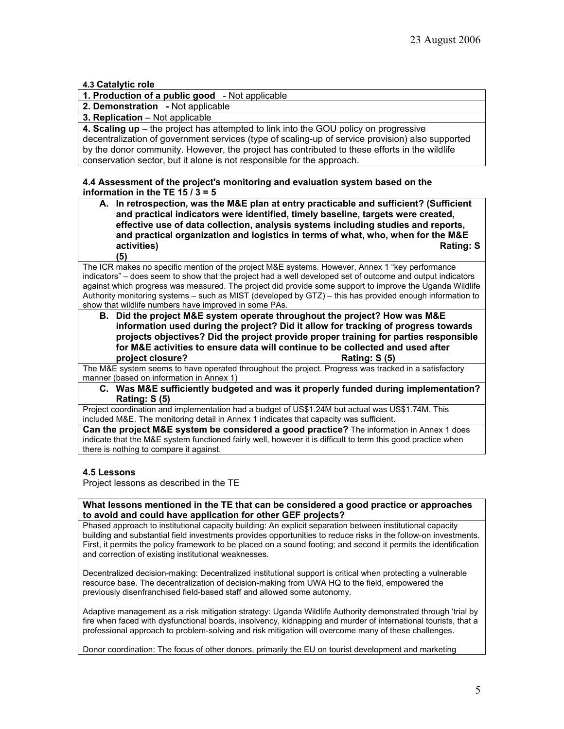### **4.3 Catalytic role**

**1. Production of a public good** - Not applicable

**2. Demonstration -** Not applicable

**3. Replication** – Not applicable

**4. Scaling up** – the project has attempted to link into the GOU policy on progressive decentralization of government services (type of scaling-up of service provision) also supported by the donor community. However, the project has contributed to these efforts in the wildlife conservation sector, but it alone is not responsible for the approach.

## **4.4 Assessment of the project's monitoring and evaluation system based on the information in the TE 15 / 3 = 5**

**A. In retrospection, was the M&E plan at entry practicable and sufficient? (Sufficient and practical indicators were identified, timely baseline, targets were created, effective use of data collection, analysis systems including studies and reports, and practical organization and logistics in terms of what, who, when for the M&E activities) Rating: S (5)**

The ICR makes no specific mention of the project M&E systems. However, Annex 1 "key performance indicators" – does seem to show that the project had a well developed set of outcome and output indicators against which progress was measured. The project did provide some support to improve the Uganda Wildlife Authority monitoring systems – such as MIST (developed by GTZ) – this has provided enough information to show that wildlife numbers have improved in some PAs.

**B. Did the project M&E system operate throughout the project? How was M&E information used during the project? Did it allow for tracking of progress towards projects objectives? Did the project provide proper training for parties responsible for M&E activities to ensure data will continue to be collected and used after project closure? Rating: S (5)**

The M&E system seems to have operated throughout the project. Progress was tracked in a satisfactory manner (based on information in Annex 1)

**C. Was M&E sufficiently budgeted and was it properly funded during implementation? Rating: S (5)**

Project coordination and implementation had a budget of US\$1.24M but actual was US\$1.74M. This included M&E. The monitoring detail in Annex 1 indicates that capacity was sufficient.

**Can the project M&E system be considered a good practice?** The information in Annex 1 does indicate that the M&E system functioned fairly well, however it is difficult to term this good practice when there is nothing to compare it against.

#### **4.5 Lessons**

Project lessons as described in the TE

**What lessons mentioned in the TE that can be considered a good practice or approaches to avoid and could have application for other GEF projects?**

Phased approach to institutional capacity building: An explicit separation between institutional capacity building and substantial field investments provides opportunities to reduce risks in the follow-on investments. First, it permits the policy framework to be placed on a sound footing; and second it permits the identification and correction of existing institutional weaknesses.

Decentralized decision-making: Decentralized institutional support is critical when protecting a vulnerable resource base. The decentralization of decision-making from UWA HQ to the field, empowered the previously disenfranchised field-based staff and allowed some autonomy.

Adaptive management as a risk mitigation strategy: Uganda Wildlife Authority demonstrated through 'trial by fire when faced with dysfunctional boards, insolvency, kidnapping and murder of international tourists, that a professional approach to problem-solving and risk mitigation will overcome many of these challenges.

Donor coordination: The focus of other donors, primarily the EU on tourist development and marketing